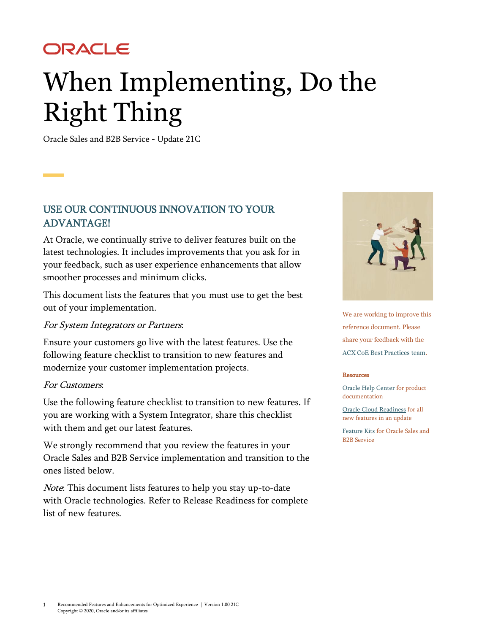## ORACLE

# When Implementing, Do the Right Thing

Oracle Sales and B2B Service - Update 21C

### USE OUR CONTINUOUS INNOVATION TO YOUR ADVANTAGE!

At Oracle, we continually strive to deliver features built on the latest technologies. It includes improvements that you ask for in your feedback, such as user experience enhancements that allow smoother processes and minimum clicks.

This document lists the features that you must use to get the best out of your implementation.

#### For System Integrators or Partners:

Ensure your customers go live with the latest features. Use the following feature checklist to transition to new features and modernize your customer implementation projects.

#### For Customers:

Use the following feature checklist to transition to new features. If you are working with a System Integrator, share this checklist with them and get our latest features.

We strongly recommend that you review the features in your Oracle Sales and B2B Service implementation and transition to the ones listed below.

Note: This document lists features to help you stay up-to-date with Oracle technologies. Refer to Release Readiness for complete list of new features.



We are working to improve this reference document. Please share your feedback with the [ACX CoE Best Practices team.](mailto:acx_coe_best_practices_ww_grp@oracle.com) 

#### [Resources](mailto:acx_coe_best_practices_ww_grp@oracle.com)

[Oracle Help C](mailto:acx_coe_best_practices_ww_grp@oracle.com)[enter](http://docs.oracle.com/pls/topic/lookup?ctx=en/cloud/saas&id=salesgs) [for product](http://docs.oracle.com/pls/topic/lookup?ctx=en/cloud/saas&id=salesgs)  [docume](http://docs.oracle.com/pls/topic/lookup?ctx=en/cloud/saas&id=salesgs)ntation

[Oracle Cloud Readiness](https://www.oracle.com/webfolder/technetwork/tutorials/tutorial/readiness/offering.html?offering=engagement-20) f[or all](https://www.oracle.com/webfolder/technetwork/tutorials/tutorial/readiness/offering.html?offering=engagement-20)  [new features in](https://www.oracle.com/webfolder/technetwork/tutorials/tutorial/readiness/offering.html?offering=engagement-20) an update

[Feature Kits](https://videohub.oracle.com/channel/Oracle%2BSales%2Band%2BB2B%2BService%2BFeature%2BKits/166706222) [for Oracle Sa](https://videohub.oracle.com/channel/Oracle%2BSales%2Band%2BB2B%2BService%2BFeature%2BKits/166706222)les and B2B Service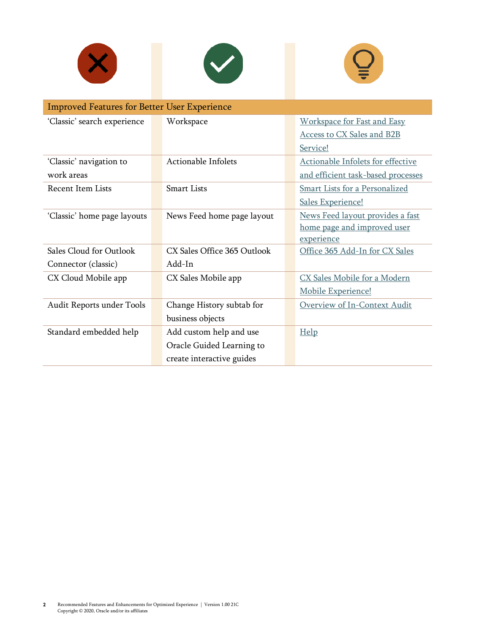





| <b>Improved Features for Better User Experience</b> |                             |                                       |  |
|-----------------------------------------------------|-----------------------------|---------------------------------------|--|
| 'Classic' search experience                         | Workspace                   | <b>Workspace for Fast and Easy</b>    |  |
|                                                     |                             | <b>Access to CX Sales and B2B</b>     |  |
|                                                     |                             | Service!                              |  |
| 'Classic' navigation to                             | Actionable Infolets         | Actionable Infolets for effective     |  |
| work areas                                          |                             | and efficient task-based processes    |  |
| <b>Recent Item Lists</b>                            | <b>Smart Lists</b>          | <b>Smart Lists for a Personalized</b> |  |
|                                                     |                             | Sales Experience!                     |  |
| 'Classic' home page layouts                         | News Feed home page layout  | News Feed layout provides a fast      |  |
|                                                     |                             | home page and improved user           |  |
|                                                     |                             | experience                            |  |
| Sales Cloud for Outlook                             | CX Sales Office 365 Outlook | Office 365 Add-In for CX Sales        |  |
| Connector (classic)                                 | Add-In                      |                                       |  |
| CX Cloud Mobile app                                 | CX Sales Mobile app         | CX Sales Mobile for a Modern          |  |
|                                                     |                             | Mobile Experience!                    |  |
| Audit Reports under Tools                           | Change History subtab for   | Overview of In-Context Audit          |  |
|                                                     | business objects            |                                       |  |
| Standard embedded help                              | Add custom help and use     | Help                                  |  |
|                                                     | Oracle Guided Learning to   |                                       |  |
|                                                     | create interactive guides   |                                       |  |